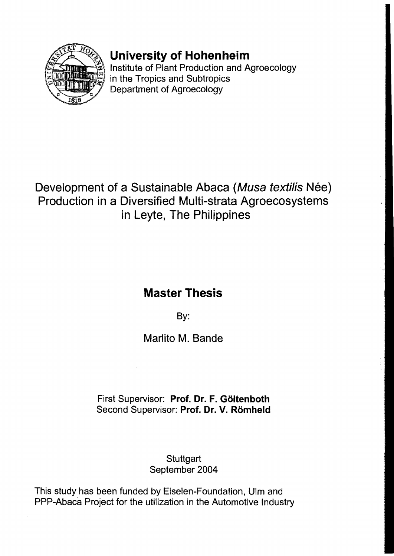

# **University of Hohenheim**

Institute of Plant Production and Agroecology in the Tropics and Subtropics Department of Agroecology

### Development of a Sustainable Abaca (Musa textilis Née) Production in a Diversified Multi-strata Agroecosystems in Leyte, The Philippines

# **Master Thesis**

By:

Marlito M. Bande

### First Supervisor: Prof. Dr. F. Göltenboth Second Supervisor: Prof. Dr. V. Römheld

#### **Stuttgart** September 2004

This study has been funded by Eiselen-Foundation, Ulm and PPP-Abaca Project for the utilization in the Automotive Industry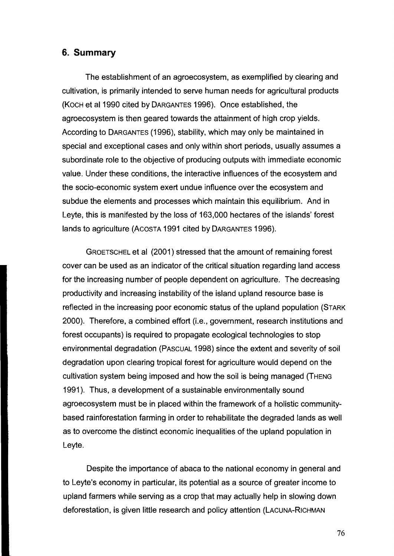#### **6. Summary**

The establishment of an agroecosystem, as exemplified by clearing and cultivation, is primarily intended to serve human needs for agricultural products (KOCH et al 1990 cited by DARGANTES 1996). Once established, the agroecosystem is then geared towards the attainment of high crop yields. According to DARGANTES (1996), stability, which may only be maintained in special and exceptional cases and only within short periods, usually assumes a subordinate role to the objective of producing outputs with immediate economic value. Under these conditions, the interactive influences of the ecosystem and the socio-economic system exert undue influence over the ecosystem and subdue the elements and processes which maintain this equilibrium. And in Leyte, this is manifested by the loss of 163,000 hectares of the islands' forest lands to agriculture (ACOSTA 1991 cited by DARGANTES 1996).

GROETSCHEL et al (2001) stressed that the amount of remaining forest cover can be used as an indicator of the critical situation regarding land access for the increasing number of people dependent on agriculture. The decreasing productivity and increasing instability of the island upland resource base is reflected in the increasing poor economic status of the upland population (STARK 2000). Therefore, a combined effort (i.e., government, research institutions and forest occupants) is required to propagate ecological technologies to stop environmental degradation (PASCUAL 1998) since the extent and severity of soil degradation upon clearing tropical forest for agriculture would depend on the cultivation system being imposed and how the soil is being managed (THENG 1991). Thus, a development of a sustainable environmentally sound agroecosystem must be in placed within the framework of a holistic communitybased rainforestation farming in order to rehabilitate the degraded lands as weil as to overcome the distinct economic inequalities of the upland population in Leyte.

Despite the importance of abaca to the national economy in general and to Leyte's economy in particular, its potential as a source of greater income to upland farmers while serving as a crop that may actually help in slowing down deforestation, is given little research and policy attention (LACUNA-RICHMAN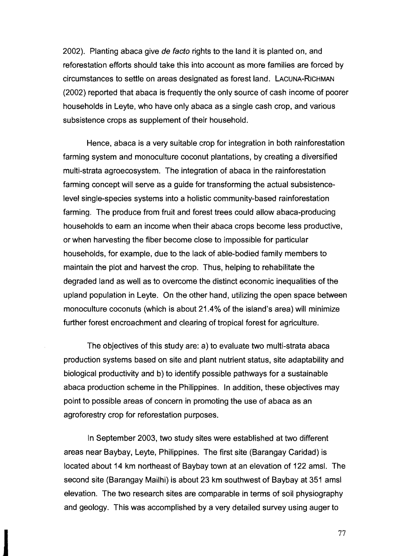2002). Planting abaca give de facto rights to the land it is planted on, and reforestation efforts should take this into account as more families are forced by circumstances to settle on areas designated as forest land. LACUNA-RICHMAN (2002) reported that abaca is frequently the only source of cash income of poorer households in Leyte, who have only abaca as a single cash crop, and various subsistence crops as supplement of their household.

Hence, abaca is a very suitable crop for integration in both rainforestation farming system and monoculture coconut plantations, by creating a diversified multi-strata agroecosystem. The integration of abaca in the rainforestation farming concept will serve as a guide for transforming the actual subsistencelevel single-species systems into a holistic community-based rainforestation farming. The produce from fruit and forest trees could allow abaca-producing households to earn an income when their abaca crops become less productive, or when harvesting the fiber become close to impossible for particular households, for example, due to the lack of able-bodied family members to maintain the plot and harvest the crop. Thus, helping to rehabilitate the degraded land as weil as to overcome the distinct economic inequalities of the upland population in Leyte. On the other hand, utilizing the open space between monoculture coconuts (which is about 21.4% of the island's area) will minimize further forest encroachment and clearing of tropical forest for agriculture.

The objectives of this study are: a) to evaluate two multi-strata abaca production systems based on site and plant nutrient status, site adaptability and biological productivity and b) to identify possible pathways for a sustainable abaca production scheme in the Philippines. In addition, these objectives may point to possible areas of concern in promoting the use of abaca as an agroforestry crop for reforestation purposes.

In September 2003, two study sites were established at two different areas near Baybay, Leyte, Philippines. The first site (Barangay Caridad) is located about 14 km northeast of Baybay town at an elevation of 122 amsl. The second site (Barangay Mailhi) is about 23 km southwest of Baybay at 351 amsl elevation. The two research sites are comparable in terms of soil physiography and geology. This was accomplished by a very detailed survey using auger to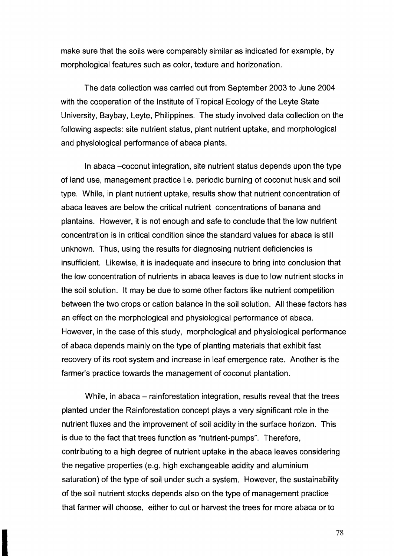make sure that the soils were comparably similar as indicated for example, by morphological features such as color, texture and horizonation.

The data collection was carried out from September 2003 to June 2004 with the cooperation of the Institute of Tropical Ecology of the Leyte State University, Baybay, Leyte, Philippines. The study involved data collection on the following aspects: site nutrient status, plant nutrient uptake, and morphological and physiological performance of abaca plants.

In abaca -coconut integration, site nutrient status depends upon the type of land use, management practice *i.e.* periodic burning of coconut husk and soil type. While, in plant nutrient uptake, results show that nutrient concentration of abaca leaves are below the critical nutrient concentrations of banana and plantains. However, it is not enough and safe to conclude that the low nutrient concentration is in critical condition since the standard values for abaca is still unknown. Thus, using the results for diagnosing nutrient deficiencies is insufficient. Likewise, it is inadequate and insecure to bring into conclusion that the low concentration of nutrients in abaca leaves is due to low nutrient stocks in the soil solution. It may be due to some other factors like nutrient competition between the two crops or cation balance in the soil solution. All these factors has an effect on the morphological and physiological performance of abaca. However, in the case of this study, morphological and physiological performance of abaca depends mainly on the type of planting materials that exhibit fast recovery of its root system and increase in leaf emergence rate. Another is the farmer's practice towards the management of coconut plantation.

While, in abaca – rainforestation integration, results reveal that the trees planted under the Rainforestation concept plays a very significant role in the nutrient fluxes and the improvement of soil acidity in the surface horizon. This is due to the fact that trees function as "nutrient-pumps". Therefore. contributing to a high degree of nutrient uptake in the abaca leaves considering the negative properties (e.g. high exchangeable acidity and aluminium saturation) of the type of soil under such a system. However, the sustainability of the soil nutrient stocks depends also on the type of management practice that farmer will choose, either to cut or harvest the trees for more abaca or to

78